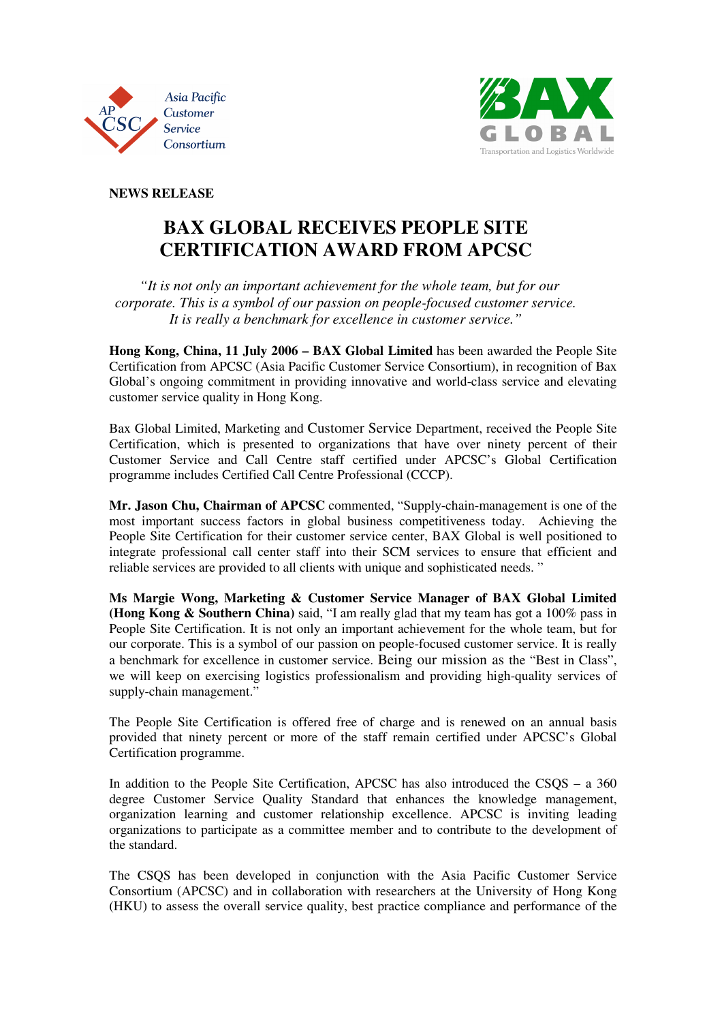



**NEWS RELEASE** 

## **BAX GLOBAL RECEIVES PEOPLE SITE CERTIFICATION AWARD FROM APCSC**

 *"It is not only an important achievement for the whole team, but for our corporate. This is a symbol of our passion on people-focused customer service. It is really a benchmark for excellence in customer service."* 

**Hong Kong, China, 11 July 2006 – BAX Global Limited** has been awarded the People Site Certification from APCSC (Asia Pacific Customer Service Consortium), in recognition of Bax Global's ongoing commitment in providing innovative and world-class service and elevating customer service quality in Hong Kong.

Bax Global Limited, Marketing and Customer Service Department, received the People Site Certification, which is presented to organizations that have over ninety percent of their Customer Service and Call Centre staff certified under APCSC's Global Certification programme includes Certified Call Centre Professional (CCCP).

**Mr. Jason Chu, Chairman of APCSC** commented, "Supply-chain-management is one of the most important success factors in global business competitiveness today. Achieving the People Site Certification for their customer service center, BAX Global is well positioned to integrate professional call center staff into their SCM services to ensure that efficient and reliable services are provided to all clients with unique and sophisticated needs. "

**Ms Margie Wong, Marketing & Customer Service Manager of BAX Global Limited (Hong Kong & Southern China)** said, "I am really glad that my team has got a 100% pass in People Site Certification. It is not only an important achievement for the whole team, but for our corporate. This is a symbol of our passion on people-focused customer service. It is really a benchmark for excellence in customer service. Being our mission as the "Best in Class", we will keep on exercising logistics professionalism and providing high-quality services of supply-chain management."

The People Site Certification is offered free of charge and is renewed on an annual basis provided that ninety percent or more of the staff remain certified under APCSC's Global Certification programme.

In addition to the People Site Certification, APCSC has also introduced the CSQS – a 360 degree Customer Service Quality Standard that enhances the knowledge management, organization learning and customer relationship excellence. APCSC is inviting leading organizations to participate as a committee member and to contribute to the development of the standard.

The CSQS has been developed in conjunction with the Asia Pacific Customer Service Consortium (APCSC) and in collaboration with researchers at the University of Hong Kong (HKU) to assess the overall service quality, best practice compliance and performance of the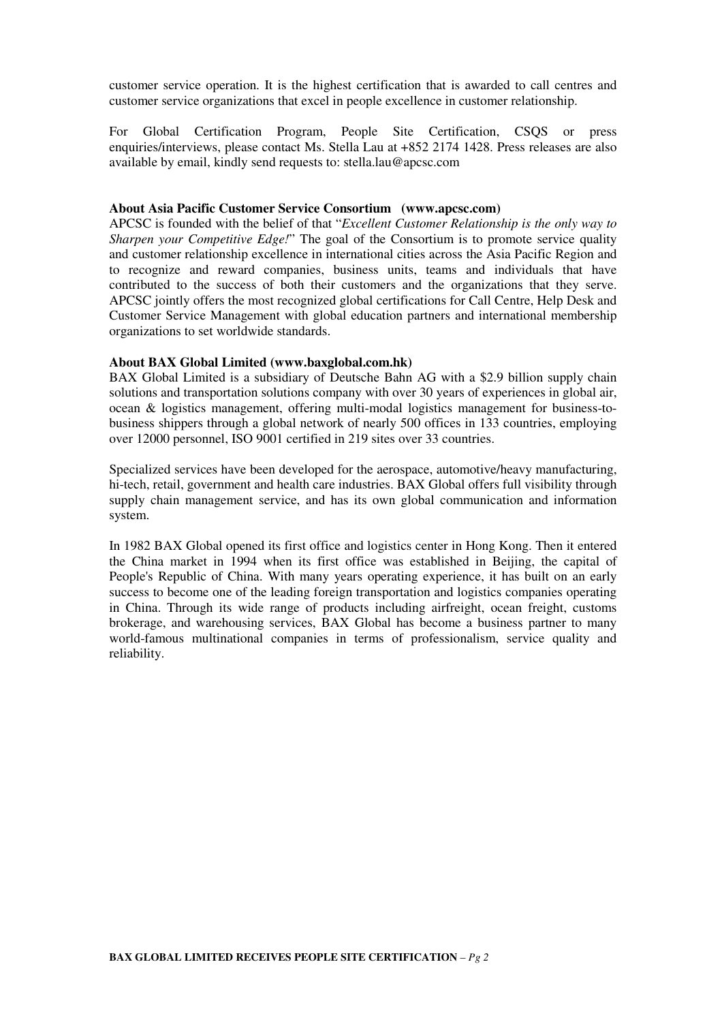customer service operation. It is the highest certification that is awarded to call centres and customer service organizations that excel in people excellence in customer relationship.

For Global Certification Program, People Site Certification, CSQS or press enquiries/interviews, please contact Ms. Stella Lau at +852 2174 1428. Press releases are also available by email, kindly send requests to: stella.lau@apcsc.com

### **About Asia Pacific Customer Service Consortium (www.apcsc.com)**

APCSC is founded with the belief of that "*Excellent Customer Relationship is the only way to Sharpen your Competitive Edge!*" The goal of the Consortium is to promote service quality and customer relationship excellence in international cities across the Asia Pacific Region and to recognize and reward companies, business units, teams and individuals that have contributed to the success of both their customers and the organizations that they serve. APCSC jointly offers the most recognized global certifications for Call Centre, Help Desk and Customer Service Management with global education partners and international membership organizations to set worldwide standards.

### **About BAX Global Limited (www.baxglobal.com.hk)**

BAX Global Limited is a subsidiary of Deutsche Bahn AG with a \$2.9 billion supply chain solutions and transportation solutions company with over 30 years of experiences in global air, ocean & logistics management, offering multi-modal logistics management for business-tobusiness shippers through a global network of nearly 500 offices in 133 countries, employing over 12000 personnel, ISO 9001 certified in 219 sites over 33 countries.

Specialized services have been developed for the aerospace, automotive/heavy manufacturing, hi-tech, retail, government and health care industries. BAX Global offers full visibility through supply chain management service, and has its own global communication and information system.

In 1982 BAX Global opened its first office and logistics center in Hong Kong. Then it entered the China market in 1994 when its first office was established in Beijing, the capital of People's Republic of China. With many years operating experience, it has built on an early success to become one of the leading foreign transportation and logistics companies operating in China. Through its wide range of products including airfreight, ocean freight, customs brokerage, and warehousing services, BAX Global has become a business partner to many world-famous multinational companies in terms of professionalism, service quality and reliability.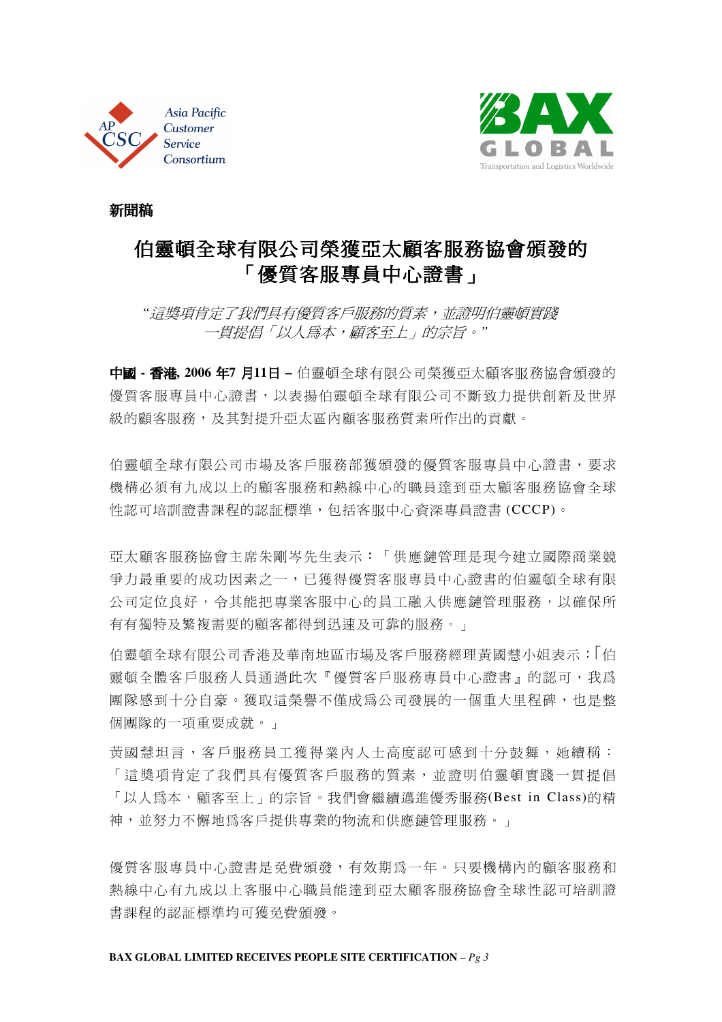



新聞稿

# 伯靈頓全球有限公司榮獲亞太顧客服務協會頒發的 「優質客服專員中心證書」

 *"*這獎項肯定了我們具有優質客戶服務的質素,並證明伯靈頓實踐 一貫提倡「以人為本,顧客至上」的宗旨。*"* 

中國 **-** 香港**, 2006** 年**7** 月**11**日 **–** 伯靈頓全球有限公司榮獲亞太顧客服務協會頒發的 優質客服專員中心證書,以表揚伯靈頓全球有限公司不斷致力提供創新及世界 級的顧客服務、及其對提升亞太區內顧客服務質素所作出的貢獻。

伯靈頓全球有限公司市場及客戶服務部獲頒發的優質客服專員中心證書,要求 機構必須有九成以上的顧客服務和熱線中心的職員達到亞太顧客服務協會全球 性認可培訓證書課程的認証標準,包括客服中心資深專員證書 (CCCP)。

亞太顧客服務協會主席朱剛岑先生表示:「供應鏈管理是現今建立國際商業競 爭力最重要的成功因素之一,已獲得優質客服專員中心證書的伯靈頓全球有限 公司定位良好,令其能把專業客服中心的員工融入供應鏈管理服務,以確保所 有有獨特及繁複需要的顧客都得到迅速及可靠的服務。」

伯靈頓全球有限公司香港及華南地區市場及客戶服務經理黃國慧小姐表示:1伯 靈頓全體客戶服務」為出於「優質客戶服務專員中心證書」的認可,我爲 團隊感到十分自豪。獲取這榮譽不僅成為公司發展的一個重大里程碑,也是整 個團隊的一項重要成就。」

黃國 慧 坦 言, 客 戶 服 務 員 工 獲 得 業 內 人 十 高 度 認 可 感 到 十 分 鼓 舞, 她 續 稱: 「 這 獎 項 肯 定 了 我 們 具 有 優 質 客 戶 服 務 的 質 素, 並 證 明 伯 靈 頓 實 踐 一 貫 提 倡 「以人為本,顧客至上」的宗旨。我們會繼續邁進優秀服務(Best in Class)的精 神,並努力不懈地為客戶提供專業的物流和供應鏈管理服務。」

優質客服專員中心證書是免費頒發,有效期為一年。只要機構內的顧客服務和 熱線中心有九成以上客服中心職員能達到亞太顧客服務協會全球性認可培訓證 書課程的認証標準均可獲免費頒發。